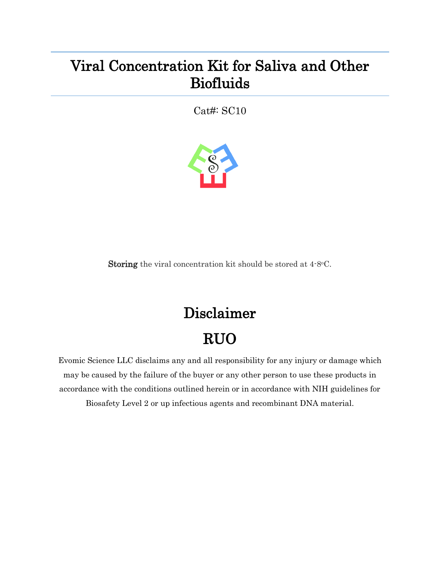## Viral Concentration Kit for Saliva and Other Biofluids

Cat#: SC10



Storing the viral concentration kit should be stored at 4.8°C.

## Disclaimer RUO

Evomic Science LLC disclaims any and all responsibility for any injury or damage which may be caused by the failure of the buyer or any other person to use these products in accordance with the conditions outlined herein or in accordance with NIH guidelines for Biosafety Level 2 or up infectious agents and recombinant DNA material.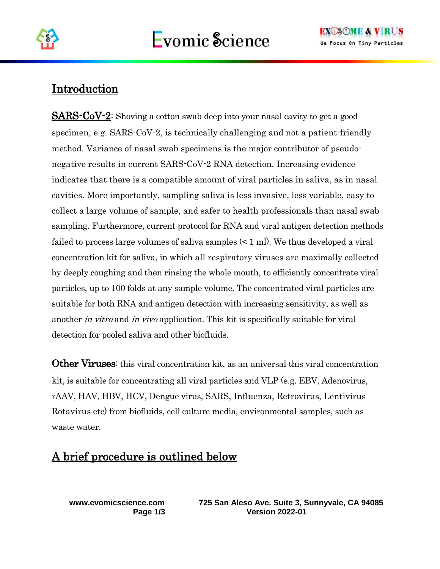

## Introduction

SARS-CoV-2: Shoving a cotton swab deep into your nasal cavity to get a good specimen, e.g. SARS-CoV-2, is technically challenging and not a patient-friendly method. Variance of nasal swab specimens is the major contributor of pseudonegative results in current SARS-CoV-2 RNA detection. Increasing evidence indicates that there is a compatible amount of viral particles in saliva, as in nasal cavities. More importantly, sampling saliva is less invasive, less variable, easy to collect a large volume of sample, and safer to health professionals than nasal swab sampling. Furthermore, current protocol for RNA and viral antigen detection methods failed to process large volumes of saliva samples (< 1 ml). We thus developed a viral concentration kit for saliva, in which all respiratory viruses are maximally collected by deeply coughing and then rinsing the whole mouth, to efficiently concentrate viral particles, up to 100 folds at any sample volume. The concentrated viral particles are suitable for both RNA and antigen detection with increasing sensitivity, as well as another in vitro and in vivo application. This kit is specifically suitable for viral detection for pooled saliva and other biofluids.

**Other Viruses:** this viral concentration kit, as an universal this viral concentration kit, is suitable for concentrating all viral particles and VLP (e.g. EBV, Adenovirus, rAAV, HAV, HBV, HCV, Dengue virus, SARS, Influenza, Retrovirus, Lentivirus Rotavirus etc) from biofluids, cell culture media, environmental samples, such as waste water.

## A brief procedure is outlined below

**www.evomicscience.com 725 San Aleso Ave. Suite 3, Sunnyvale, CA 94085 Page 1/3 Version 2022-01**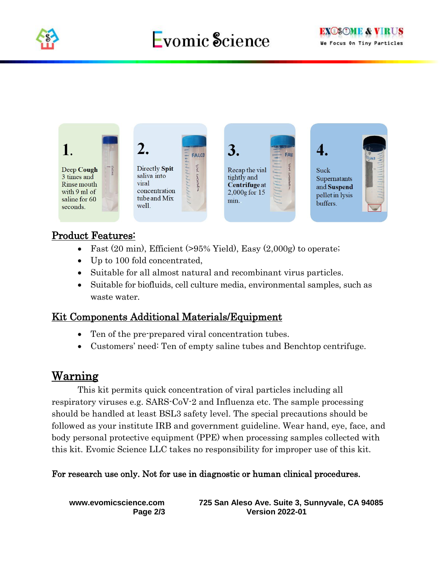

# Evomic Science



#### Product Features:

- Fast  $(20 \text{ min})$ , Efficient  $(>95\% \text{ Yield})$ , Easy  $(2,000g)$  to operate;
- Up to 100 fold concentrated,
- Suitable for all almost natural and recombinant virus particles.
- Suitable for biofluids, cell culture media, environmental samples, such as waste water.

#### Kit Components Additional Materials/Equipment

- Ten of the pre-prepared viral concentration tubes.
- Customers' need: Ten of empty saline tubes and Benchtop centrifuge.

## Warning

This kit permits quick concentration of viral particles including all respiratory viruses e.g. SARS-CoV-2 and Influenza etc. The sample processing should be handled at least BSL3 safety level. The special precautions should be followed as your institute IRB and government guideline. Wear hand, eye, face, and body personal protective equipment (PPE) when processing samples collected with this kit. Evomic Science LLC takes no responsibility for improper use of this kit.

#### For research use only. Not for use in diagnostic or human clinical procedures.

**www.evomicscience.com 725 San Aleso Ave. Suite 3, Sunnyvale, CA 94085 Page 2/3 Version 2022-01**